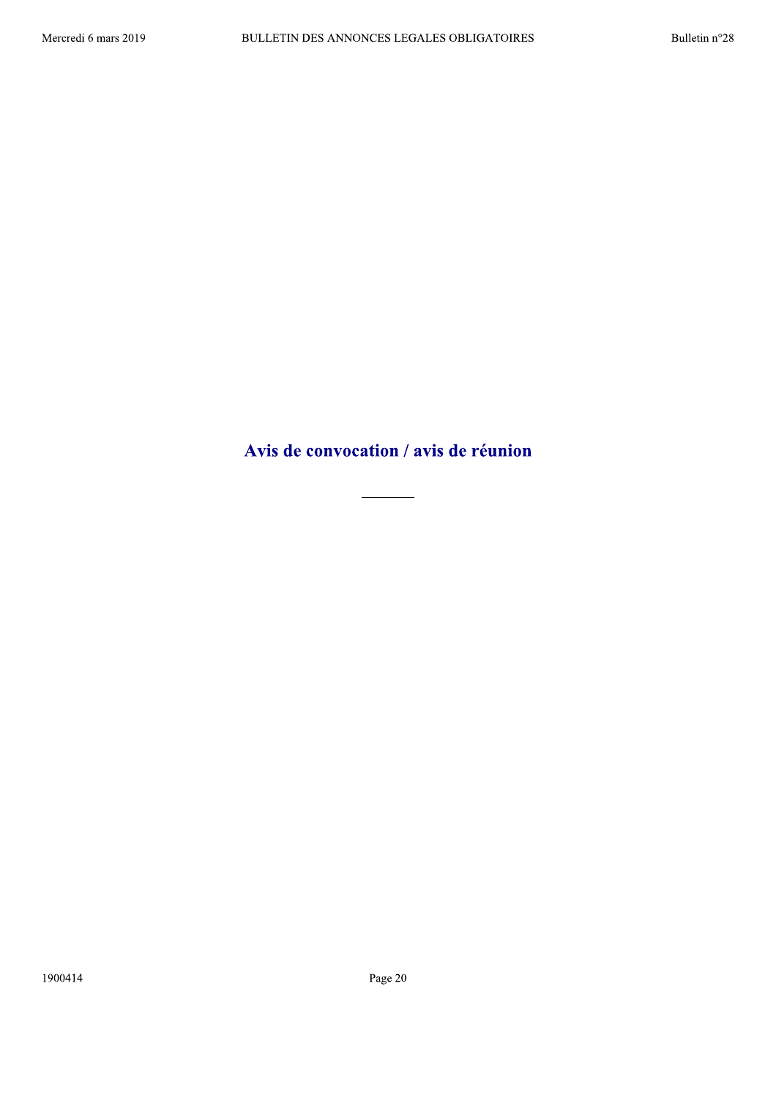Avis de convocation / avis de réunion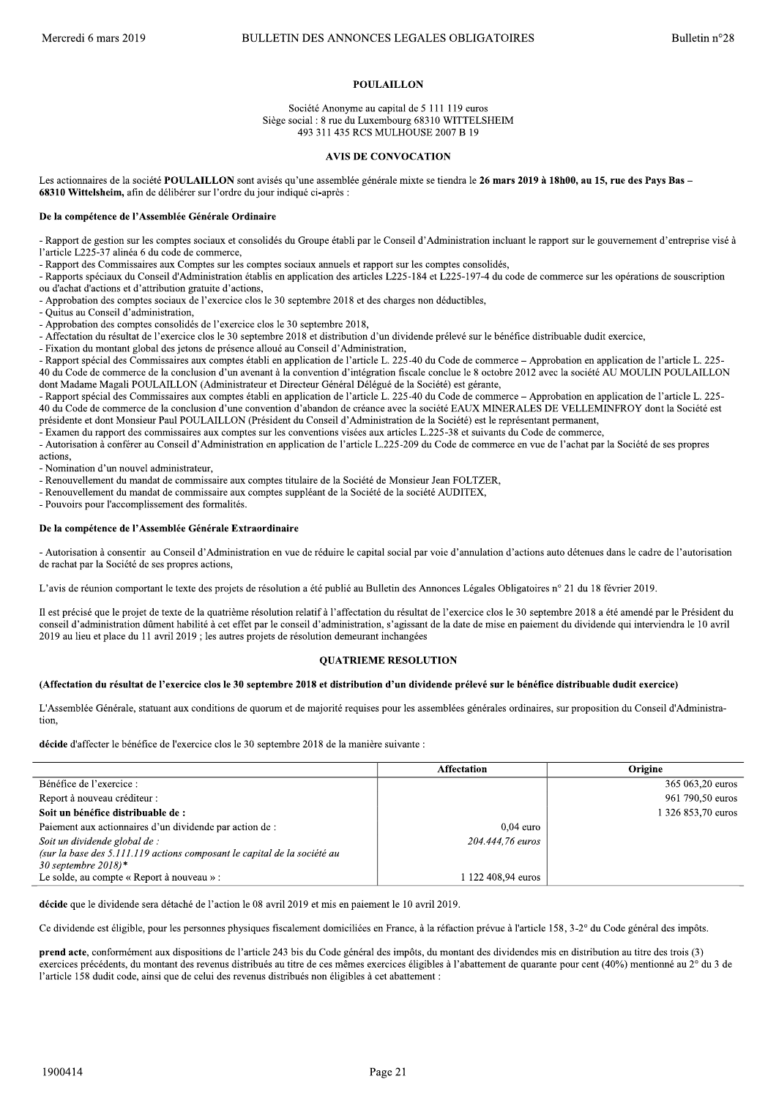# **POULAILLON**

Société Anonyme au capital de 5 111 119 euros Siège social : 8 rue du Luxembourg 68310 WITTELSHEIM 493 311 435 RCS MULHOUSE 2007 B 19

#### **AVIS DE CONVOCATION**

Les actionnaires de la société POULAILLON sont avisés qu'une assemblée générale mixte se tiendra le 26 mars 2019 à 18h00, au 15, rue des Pays Bas -68310 Wittelsheim, afin de délibérer sur l'ordre du jour indiqué ci-après :

### De la compétence de l'Assemblée Générale Ordinaire

- Rapport de gestion sur les comptes sociaux et consolidés du Groupe établi par le Conseil d'Administration incluant le rapport sur le gouvernement d'entreprise visé à l'article L225-37 alinéa 6 du code de commerce,

- Rapport des Commissaires aux Comptes sur les comptes sociaux annuels et rapport sur les comptes consolidés.

- Rapports spéciaux du Conseil d'Administration établis en application des articles L225-184 et L225-197-4 du code de commerce sur les opérations de souscription ou d'achat d'actions et d'attribution gratuite d'actions,

- Approbation des comptes sociaux de l'exercice clos le 30 septembre 2018 et des charges non déductibles,

- Quitus au Conseil d'administration

- Approbation des comptes consolidés de l'exercice clos le 30 septembre 2018,

- Affectation du résultat de l'exercice clos le 30 septembre 2018 et distribution d'un dividende prélevé sur le bénéfice distribuable dudit exercice,

- Fixation du montant global des jetons de présence alloué au Conseil d'Administration,

- Rapport spécial des Commissaires aux comptes établi en application de l'article L. 225-40 du Code de commerce - Approbation en application de l'article L. 225-40 du Code de commerce de la conclusion d'un avenant à la convention d'intégration fiscale conclue le 8 octobre 2012 avec la société AU MOULIN POULAILLON dont Madame Magali POULAILLON (Administrateur et Directeur Général Délégué de la Société) est gérante,

- Rapport spécial des Commissaires aux comptes établi en application de l'article L. 225-40 du Code de commerce - Approbation en application de l'article L. 225-40 du Code de commerce de la conclusion d'une convention d'abandon de créance avec la société EAUX MINERALES DE VELLEMINFROY dont la Société est présidente et dont Monsieur Paul POULAILLON (Président du Conseil d'Administration de la Société) est le représentant permanent,

- Examen du rapport des commissaires aux comptes sur les conventions visées aux articles L.225-38 et suivants du Code de commerce,

- Autorisation à conférer au Conseil d'Administration en application de l'article L.225-209 du Code de commerce en vue de l'achat par la Société de ses propres actions.

- Nomination d'un nouvel administrateur.

- Renouvellement du mandat de commissaire aux comptes titulaire de la Société de Monsieur Jean FOLTZER.

- Renouvellement du mandat de commissaire aux comptes suppléant de la Société de la société AUDITEX,

- Pouvoirs pour l'accomplissement des formalités.

#### De la compétence de l'Assemblée Générale Extraordinaire

- Autorisation à consentir au Conseil d'Administration en vue de réduire le capital social par voie d'annulation d'actions auto détenues dans le cadre de l'autorisation de rachat par la Société de ses propres actions,

L'avis de réunion comportant le texte des projets de résolution a été publié au Bulletin des Annonces Légales Obligatoires n° 21 du 18 février 2019.

Il est précisé que le projet de texte de la quatrième résolution relatif à l'affectation du résultat de l'exercice clos le 30 septembre 2018 a été amendé par le Président du conseil d'administration dûment habilité à cet effet par le conseil d'administration, s'agissant de la date de mise en paiement du dividende qui interviendra le 10 avril 2019 au lieu et place du 11 avril 2019 ; les autres projets de résolution demeurant inchangées

## **OUATRIEME RESOLUTION**

#### (Affectation du résultat de l'exercice clos le 30 septembre 2018 et distribution d'un dividende prélevé sur le bénéfice distribuable dudit exercice)

L'Assemblée Générale, statuant aux conditions de quorum et de majorité requises pour les assemblées générales ordinaires, sur proposition du Conseil d'Administration.

décide d'affecter le bénéfice de l'exercice clos le 30 septembre 2018 de la manière suivante :

|                                                                          | Affectation        | Origine            |
|--------------------------------------------------------------------------|--------------------|--------------------|
| Bénéfice de l'exercice :                                                 |                    | 365 063,20 euros   |
| Report à nouveau créditeur :                                             |                    | 961 790,50 euros   |
| Soit un bénéfice distribuable de :                                       |                    | 1 326 853,70 euros |
| Paiement aux actionnaires d'un dividende par action de :                 | $0.04$ euro        |                    |
| Soit un dividende global de :                                            | 204.444.76 euros   |                    |
| (sur la base des 5.111.119 actions composant le capital de la société au |                    |                    |
| 30 septembre 2018)*                                                      |                    |                    |
| Le solde, au compte « Report à nouveau » :                               | 1 122 408.94 euros |                    |

décide que le dividende sera détaché de l'action le 08 avril 2019 et mis en paiement le 10 avril 2019.

Ce dividende est éligible, pour les personnes physiques fiscalement domiciliées en France, à la réfaction prévue à l'article 158, 3-2° du Code général des impôts.

prend acte, conformément aux dispositions de l'article 243 bis du Code général des impôts, du montant des dividendes mis en distribution au titre des trois (3) exercices précédents, du montant des revenus distribués au titre de ces mêmes exercices éligibles à l'abattement de quarante pour cent (40%) mentionné au 2° du 3 de l'article 158 dudit code, ainsi que de celui des revenus distribués non éligibles à cet abattement :